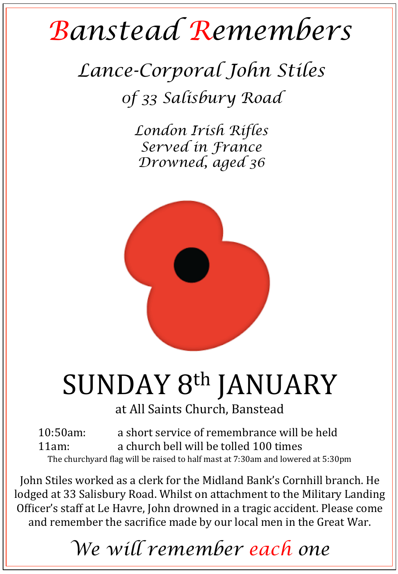## *Banstead Remembers*

## *Lance-Corporal John Stiles 0f 33 Salisbury Road*

*London Irish Rifles Served in France Drowned, aged 36* 



# SUNDAY 8<sup>th</sup> JANUARY

at All Saints Church, Banstead

10:50am: a short service of remembrance will be held 11am: a church bell will be tolled 100 times The churchyard flag will be raised to half mast at 7:30am and lowered at 5:30pm

John Stiles worked as a clerk for the Midland Bank's Cornhill branch. He lodged at 33 Salisbury Road. Whilst on attachment to the Military Landing Officer's staff at Le Havre, John drowned in a tragic accident. Please come and remember the sacrifice made by our local men in the Great War.

### *We will remember each one*